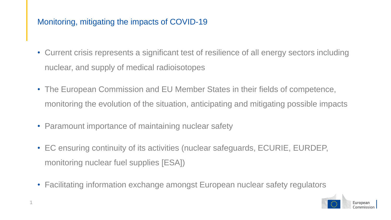## Monitoring, mitigating the impacts of COVID-19

- Current crisis represents a significant test of resilience of all energy sectors including nuclear, and supply of medical radioisotopes
- The European Commission and EU Member States in their fields of competence, monitoring the evolution of the situation, anticipating and mitigating possible impacts
- Paramount importance of maintaining nuclear safety
- EC ensuring continuity of its activities (nuclear safeguards, ECURIE, EURDEP, monitoring nuclear fuel supplies [ESA])
- Facilitating information exchange amongst European nuclear safety regulators

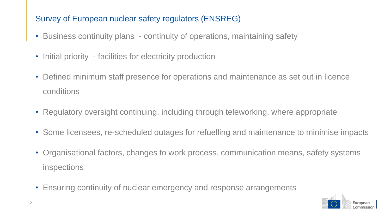## Survey of European nuclear safety regulators (ENSREG)

- Business continuity plans continuity of operations, maintaining safety
- Initial priority facilities for electricity production
- Defined minimum staff presence for operations and maintenance as set out in licence conditions
- Regulatory oversight continuing, including through teleworking, where appropriate
- Some licensees, re-scheduled outages for refuelling and maintenance to minimise impacts
- Organisational factors, changes to work process, communication means, safety systems inspections
- Ensuring continuity of nuclear emergency and response arrangements

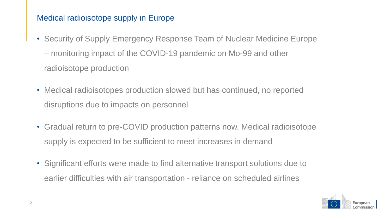## Medical radioisotope supply in Europe

- Security of Supply Emergency Response Team of Nuclear Medicine Europe – monitoring impact of the COVID-19 pandemic on Mo-99 and other radioisotope production
- Medical radioisotopes production slowed but has continued, no reported disruptions due to impacts on personnel
- Gradual return to pre-COVID production patterns now. Medical radioisotope supply is expected to be sufficient to meet increases in demand
- Significant efforts were made to find alternative transport solutions due to earlier difficulties with air transportation - reliance on scheduled airlines